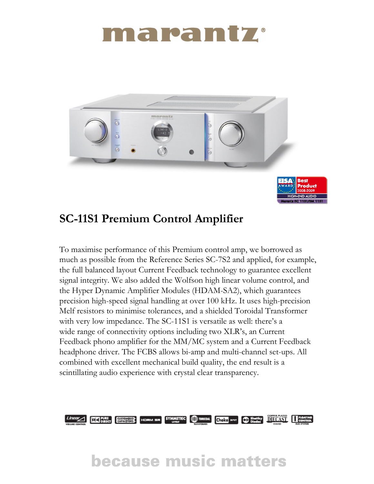# marantz



### SC-11S1 Premium Control Amplifier

To maximise performance of this Premium control amp, we borrowed as much as possible from the Reference Series SC-7S2 and applied, for example, the full balanced layout Current Feedback technology to guarantee excellent signal integrity. We also added the Wolfson high linear volume control, and the Hyper Dynamic Amplifier Modules (HDAM-SA2), which guarantees precision high-speed signal handling at over 100 kHz. It uses high-precision Melf resistors to minimise tolerances, and a shielded Toroidal Transformer with very low impedance. The SC-11S1 is versatile as well: there's a wide range of connectivity options including two XLR's, an Current Feedback phono amplifier for the MM/MC system and a Current Feedback headphone driver. The FCBS allows bi-amp and multi-channel set-ups. All combined with excellent mechanical build quality, the end result is a scintillating audio experience with crystal clear transparency.



## **because music matters**